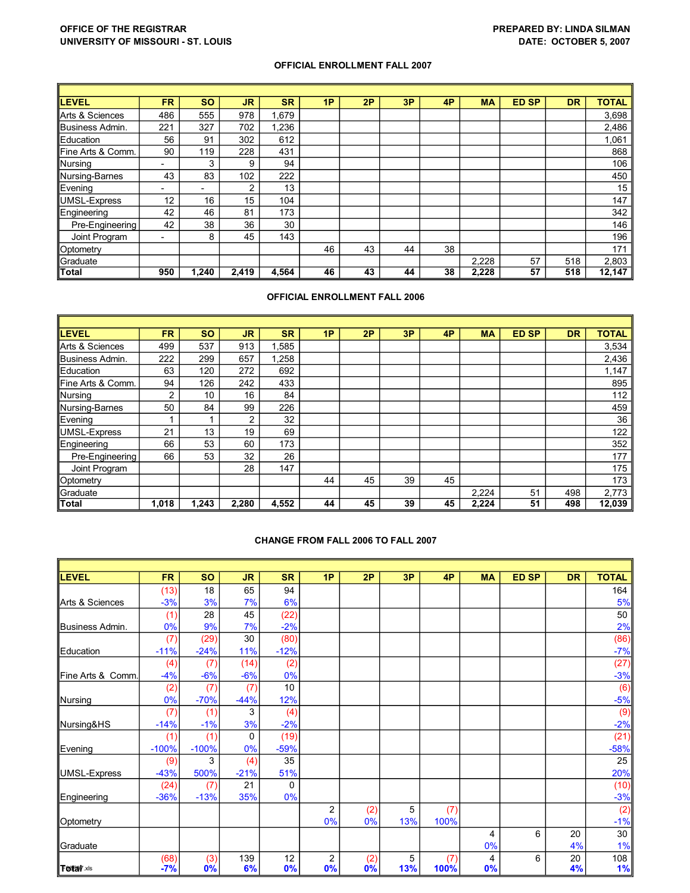## **OFFICE OF THE REGISTRAR PREPARED BY: LINDA SILMAN UNIVERSITY OF MISSOURI ST. LOUIS DATE: OCTOBER 5, 2007**

## **OFFICIAL ENROLLMENT FALL 2007**

| <b>LEVEL</b>      | FR.                      | <b>SO</b>                | <b>JR</b> | <b>SR</b> | 1P | 2P | 3P | 4P | <b>MA</b> | <b>ED SP</b> | <b>DR</b> | <b>TOTAL</b> |
|-------------------|--------------------------|--------------------------|-----------|-----------|----|----|----|----|-----------|--------------|-----------|--------------|
| Arts & Sciences   | 486                      | 555                      | 978       | .679      |    |    |    |    |           |              |           | 3,698        |
| Business Admin.   | 221                      | 327                      | 702       | 1,236     |    |    |    |    |           |              |           | 2,486        |
| Education         | 56                       | 91                       | 302       | 612       |    |    |    |    |           |              |           | 1,061        |
| Fine Arts & Comm. | 90                       | 119                      | 228       | 431       |    |    |    |    |           |              |           | 868          |
| Nursing           | -                        | 3                        | 9         | 94        |    |    |    |    |           |              |           | 106          |
| Nursing-Barnes    | 43                       | 83                       | 102       | 222       |    |    |    |    |           |              |           | 450          |
| Evening           | -                        | $\overline{\phantom{0}}$ | 2         | 13        |    |    |    |    |           |              |           | 15           |
| UMSL-Express      | 12                       | 16                       | 15        | 104       |    |    |    |    |           |              |           | 147          |
| Engineering       | 42                       | 46                       | 81        | 173       |    |    |    |    |           |              |           | 342          |
| Pre-Engineering   | 42                       | 38                       | 36        | 30        |    |    |    |    |           |              |           | 146          |
| Joint Program     | $\overline{\phantom{0}}$ | 8                        | 45        | 143       |    |    |    |    |           |              |           | 196          |
| Optometry         |                          |                          |           |           | 46 | 43 | 44 | 38 |           |              |           | 171          |
| Graduate          |                          |                          |           |           |    |    |    |    | 2,228     | 57           | 518       | 2,803        |
| <b>Total</b>      | 950                      | 1.240                    | 2,419     | 4.564     | 46 | 43 | 44 | 38 | 2,228     | 57           | 518       | 12,147       |

## **OFFICIAL ENROLLMENT FALL 2006**

| LEVEL             | FR.            | <b>SO</b> | <b>JR</b>      | <b>SR</b> | 1P | 2P | 3P | 4P | <b>MA</b> | <b>ED SP</b> | <b>DR</b> | <b>TOTAL</b> |
|-------------------|----------------|-----------|----------------|-----------|----|----|----|----|-----------|--------------|-----------|--------------|
| Arts & Sciences   | 499            | 537       | 913            | 1,585     |    |    |    |    |           |              |           | 3,534        |
| Business Admin.   | 222            | 299       | 657            | 1,258     |    |    |    |    |           |              |           | 2,436        |
| Education         | 63             | 120       | 272            | 692       |    |    |    |    |           |              |           | 1,147        |
| Fine Arts & Comm. | 94             | 126       | 242            | 433       |    |    |    |    |           |              |           | 895          |
| Nursing           | $\overline{2}$ | 10        | 16             | 84        |    |    |    |    |           |              |           | 112          |
| Nursing-Barnes    | 50             | 84        | 99             | 226       |    |    |    |    |           |              |           | 459          |
| Evening           |                |           | $\overline{2}$ | 32        |    |    |    |    |           |              |           | 36           |
| UMSL-Express      | 21             | 13        | 19             | 69        |    |    |    |    |           |              |           | 122          |
| Engineering       | 66             | 53        | 60             | 173       |    |    |    |    |           |              |           | 352          |
| Pre-Engineering   | 66             | 53        | 32             | 26        |    |    |    |    |           |              |           | 177          |
| Joint Program     |                |           | 28             | 147       |    |    |    |    |           |              |           | 175          |
| Optometry         |                |           |                |           | 44 | 45 | 39 | 45 |           |              |           | 173          |
| Graduate          |                |           |                |           |    |    |    |    | 2,224     | 51           | 498       | 2,773        |
| Total             | 1,018          | 1,243     | 2,280          | 4,552     | 44 | 45 | 39 | 45 | 2,224     | 51           | 498       | 12,039       |

## **CHANGE FROM FALL 2006 TO FALL 2007**

| <b>LEVEL</b>      | <b>FR</b> | <b>SO</b> | <b>JR</b> | <b>SR</b> | 1P | 2P  | 3P  | 4P   | <b>MA</b> | <b>ED SP</b> | <b>DR</b> | <b>TOTAL</b> |
|-------------------|-----------|-----------|-----------|-----------|----|-----|-----|------|-----------|--------------|-----------|--------------|
|                   | (13)      | 18        | 65        | 94        |    |     |     |      |           |              |           | 164          |
| Arts & Sciences   | $-3%$     | 3%        | 7%        | 6%        |    |     |     |      |           |              |           | 5%           |
|                   | (1)       | 28        | 45        | (22)      |    |     |     |      |           |              |           | 50           |
| Business Admin.   | 0%        | 9%        | 7%        | $-2%$     |    |     |     |      |           |              |           | 2%           |
|                   | (7)       | (29)      | 30        | (80)      |    |     |     |      |           |              |           | (86)         |
| Education         | $-11%$    | $-24%$    | 11%       | $-12%$    |    |     |     |      |           |              |           | $-7%$        |
|                   | (4)       | (7)       | (14)      | (2)       |    |     |     |      |           |              |           | (27)         |
| Fine Arts & Comm. | $-4%$     | $-6%$     | $-6%$     | 0%        |    |     |     |      |           |              |           | $-3%$        |
|                   | (2)       | (7)       | (7)       | 10        |    |     |     |      |           |              |           | (6)          |
| Nursing           | 0%        | $-70%$    | $-44%$    | 12%       |    |     |     |      |           |              |           | $-5%$        |
|                   | (7)       | (1)       | 3         | (4)       |    |     |     |      |           |              |           | (9)          |
| Nursing&HS        | $-14%$    | $-1%$     | 3%        | $-2%$     |    |     |     |      |           |              |           | $-2%$        |
|                   | (1)       | (1)       | $\Omega$  | (19)      |    |     |     |      |           |              |           | (21)         |
| Evening           | $-100%$   | $-100%$   | 0%        | $-59%$    |    |     |     |      |           |              |           | $-58%$       |
|                   | (9)       | 3         | (4)       | 35        |    |     |     |      |           |              |           | 25           |
| UMSL-Express      | $-43%$    | 500%      | $-21%$    | 51%       |    |     |     |      |           |              |           | 20%          |
|                   | (24)      | (7)       | 21        | 0         |    |     |     |      |           |              |           | (10)         |
| Engineering       | $-36%$    | $-13%$    | 35%       | 0%        |    |     |     |      |           |              |           | $-3%$        |
|                   |           |           |           |           | 2  | (2) | 5   | (7)  |           |              |           | (2)          |
| Optometry         |           |           |           |           | 0% | 0%  | 13% | 100% |           |              |           | $-1%$        |
|                   |           |           |           |           |    |     |     |      | 4         | 6            | 20        | 30           |
| Graduate          |           |           |           |           |    |     |     |      | 0%        |              | 4%        | 1%           |
|                   | (68)      | (3)       | 139       | 12        | 2  | (2) | 5   | (7)  | 4         | 6            | 20        | 108          |
| <b>Tostarxis</b>  | $-7%$     | 0%        | 6%        | 0%        | 0% | 0%  | 13% | 100% | $0\%$     |              | 4%        | 1%           |